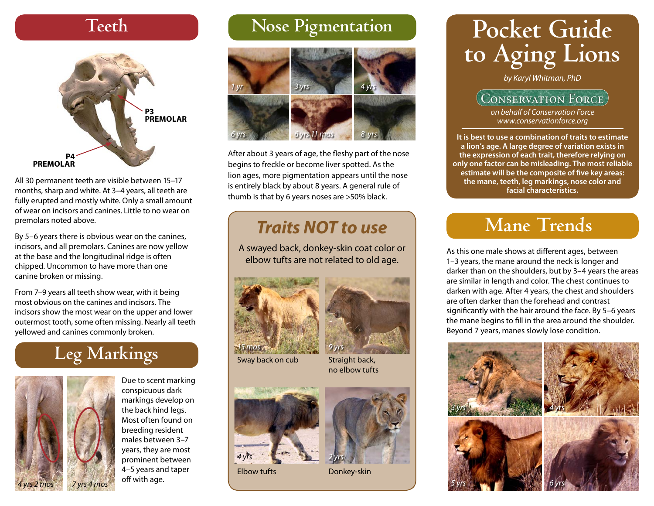### **Teeth**



All 30 permanent teeth are visible between 15–17 months, sharp and white. At 3–4 years, all teeth are fully erupted and mostly white. Only a small amount of wear on incisors and canines. Little to no wear on premolars noted above.

By 5–6 years there is obvious wear on the canines, incisors, and all premolars. Canines are now yellow at the base and the longitudinal ridge is often chipped. Uncommon to have more than one canine broken or missing.

From 7–9 years all teeth show wear, with it being most obvious on the canines and incisors. The incisors show the most wear on the upper and lower outermost tooth, some often missing. Nearly all teeth yellowed and canines commonly broken.

# **Leg Markings**



Due to scent marking conspicuous dark markings develop on the back hind legs. Most often found on breeding resident males between 3–7 years, they are most prominent between 4–5 years and taper  $off$  with age.

## **Nose Pigmentation**



After about 3 years of age, the fleshy part of the nose begins to freckle or become liver spotted. As the lion ages, more pigmentation appears until the nose is entirely black by about 8 years. A general rule of thumb is that by 6 years noses are >50% black.

A swayed back, donkey-skin coat color or elbow tufts are not related to old age.



Sway back on cub Straight back,



no elbow tufts



Elbow tufts



Donkey-skin

# **Pocket Guide to Aging Lions**

*by Karyl Whitman, PhD*

(Conservation Force)

*on behalf of Conservation Force www.conservationforce.org*

**It is best to use a combination of traits to estimate a lion's age. A large degree of variation exists in the expression of each trait, therefore relying on only one factor can be misleading. The most reliable estimate will be the composite of five key areas: the mane, teeth, leg markings, nose color and facial characteristics.**

## **Traits NOT to use Mane Trends**

As this one male shows at different ages, between 1–3 years, the mane around the neck is longer and darker than on the shoulders, but by 3–4 years the areas are similar in length and color. The chest continues to darken with age. After 4 years, the chest and shoulders are often darker than the forehead and contrast significantly with the hair around the face. By 5–6 years the mane begins to fill in the area around the shoulder. Beyond 7 years, manes slowly lose condition.